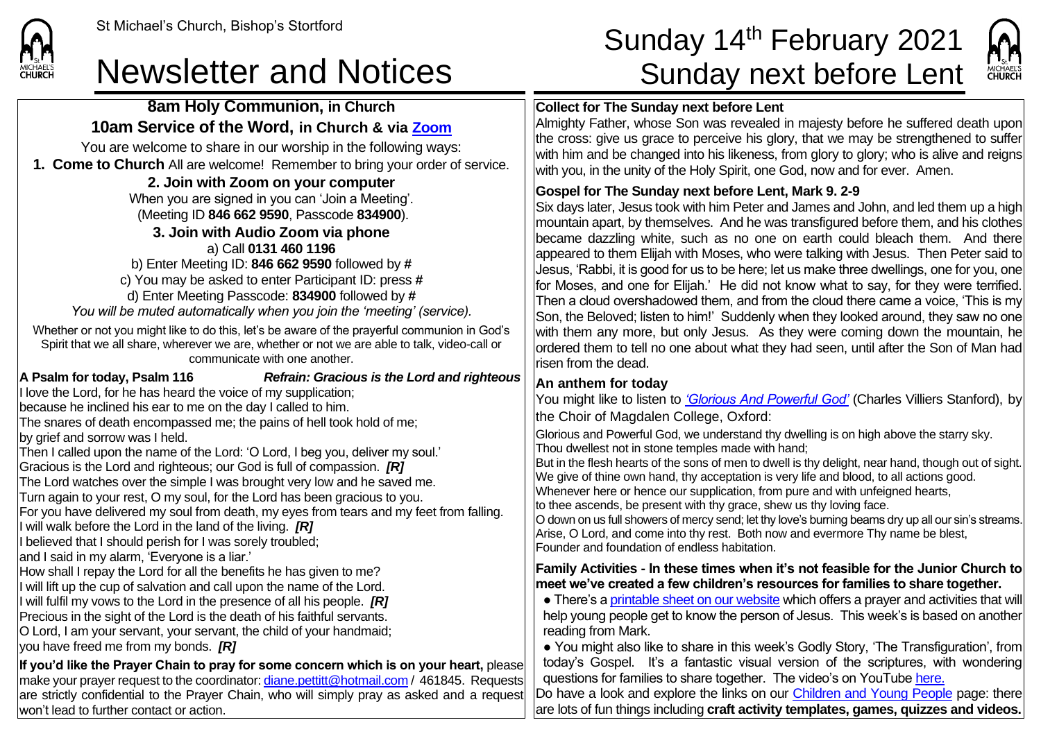**8am Holy Communion, in Church 10am Service of the Word, in Church & via [Zoom](https://zoom.us/)** You are welcome to share in our worship in the following ways: **1. Come to Church** All are welcome! Remember to bring your order of service. **2. Join with Zoom on your computer** When you are signed in you can 'Join a Meeting'. (Meeting ID **846 662 9590**, Passcode **834900**). **3. Join with Audio Zoom via phone**  a) Call **0131 460 1196**

## St Michael's Church, Bishop's Stortford **Sunday 14<sup>th</sup> February 2021** Newsletter and Notices Sunday next before Lent



#### **Collect for The Sunday next before Lent**

Almighty Father, whose Son was revealed in majesty before he suffered death upon the cross: give us grace to perceive his glory, that we may be strengthened to suffer with him and be changed into his likeness, from glory to glory; who is alive and reigns with you, in the unity of the Holy Spirit, one God, now and for ever. Amen.

### **Gospel for The Sunday next before Lent, Mark 9. 2-9**

Six days later, Jesus took with him Peter and James and John, and led them up a high mountain apart, by themselves. And he was transfigured before them, and his clothes became dazzling white, such as no one on earth could bleach them. And there appeared to them Elijah with Moses, who were talking with Jesus. Then Peter said to Jesus, 'Rabbi, it is good for us to be here; let us make three dwellings, one for you, one for Moses, and one for Elijah.' He did not know what to say, for they were terrified. Then a cloud overshadowed them, and from the cloud there came a voice, 'This is my Son, the Beloved; listen to him!' Suddenly when they looked around, they saw no one with them any more, but only Jesus. As they were coming down the mountain, he ordered them to tell no one about what they had seen, until after the Son of Man had risen from the dead.

### **An anthem for today**

You might like to listen to *['Glorious And Powerful God'](https://www.youtube.com/watch?v=2yG_VKjvR-0)* (Charles Villiers Stanford), by the Choir of Magdalen College, Oxford:

Glorious and Powerful God, we understand thy dwelling is on high above the starry sky. Thou dwellest not in stone temples made with hand;

But in the flesh hearts of the sons of men to dwell is thy delight, near hand, though out of sight. We give of thine own hand, thy acceptation is very life and blood, to all actions good. Whenever here or hence our supplication, from pure and with unfeigned hearts,

to thee ascends, be present with thy grace, shew us thy loving face.

O down on us full showers of mercy send; let thy love's burning beams dry up all our sin's streams. Arise, O Lord, and come into thy rest. Both now and evermore Thy name be blest, Founder and foundation of endless habitation.

### **Family Activities - In these times when it's not feasible for the Junior Church to meet we've created a few children's resources for families to share together.**

• There's [a printable sheet on our website](https://saintmichaelweb.org.uk/Groups/310496/Children_and_Young.aspx) which offers a prayer and activities that will help young people get to know the person of Jesus. This week's is based on another reading from Mark.

● You might also like to share in this week's Godly Story, 'The Transfiguration', from today's Gospel. It's a fantastic visual version of the scriptures, with wondering questions for families to share together. The video's on YouTub[e here.](https://www.youtube.com/watch?v=1kvAMHonGaA)

Do have a look and explore the links on our [Children and Young People](https://saintmichaelweb.org.uk/Groups/310496/Children_and_Young.aspx) page: there are lots of fun things including **craft activity templates, games, quizzes and videos.**

## b) Enter Meeting ID: **846 662 9590** followed by **#** c) You may be asked to enter Participant ID: press **#**

**CHURCH** 

won't lead to further contact or action.

d) Enter Meeting Passcode: **834900** followed by **#** *You will be muted automatically when you join the 'meeting' (service).*

Whether or not you might like to do this, let's be aware of the prayerful communion in God's Spirit that we all share, wherever we are, whether or not we are able to talk, video-call or communicate with one another.

**A Psalm for today, Psalm 116** *Refrain: Gracious is the Lord and righteous* I love the Lord, for he has heard the voice of my supplication; because he inclined his ear to me on the day I called to him. The snares of death encompassed me; the pains of hell took hold of me; by grief and sorrow was I held. Then I called upon the name of the Lord: 'O Lord, I beg you, deliver my soul.' Gracious is the Lord and righteous; our God is full of compassion. *[R]* The Lord watches over the simple I was brought very low and he saved me. Turn again to your rest, O my soul, for the Lord has been gracious to you. For you have delivered my soul from death, my eyes from tears and my feet from falling. I will walk before the Lord in the land of the living. *[R]* If believed that I should perish for I was sorely troubled: and I said in my alarm, 'Everyone is a liar.' How shall I repay the Lord for all the benefits he has given to me? I will lift up the cup of salvation and call upon the name of the Lord. I will fulfil my vows to the Lord in the presence of all his people. *[R]* Precious in the sight of the Lord is the death of his faithful servants. O Lord, I am your servant, your servant, the child of your handmaid; you have freed me from my bonds. *[R]* **If you'd like the Prayer Chain to pray for some concern which is on your heart,** please make your prayer request to the coordinator[: diane.pettitt@hotmail.com](mailto:diane.pettitt@hotmail.com) / 461845. Requests are strictly confidential to the Prayer Chain, who will simply pray as asked and a request